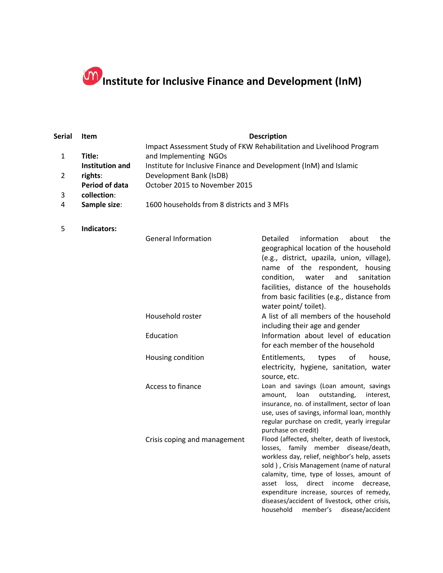## **Institute for Inclusive Finance and Development (InM)**

| Serial | Item            | <b>Description</b>                                                   |  |
|--------|-----------------|----------------------------------------------------------------------|--|
|        |                 | Impact Assessment Study of FKW Rehabilitation and Livelihood Program |  |
|        | Title:          | and Implementing NGOs                                                |  |
|        | Institution and | Institute for Inclusive Finance and Development (InM) and Islamic    |  |
| 2      | rights:         | Development Bank (IsDB)                                              |  |
|        | Period of data  | October 2015 to November 2015                                        |  |
| 3      | collection:     |                                                                      |  |
| 4      | Sample size:    | 1600 households from 8 districts and 3 MFIs                          |  |
|        |                 |                                                                      |  |
|        |                 |                                                                      |  |

5 **Indicators:**

| <b>General Information</b>   | Detailed information about<br>the<br>geographical location of the household<br>(e.g., district, upazila, union, village),<br>name of the respondent, housing<br>condition, water and sanitation<br>facilities, distance of the households<br>from basic facilities (e.g., distance from<br>water point/ toilet).                                                                                                     |
|------------------------------|----------------------------------------------------------------------------------------------------------------------------------------------------------------------------------------------------------------------------------------------------------------------------------------------------------------------------------------------------------------------------------------------------------------------|
| Household roster             | A list of all members of the household<br>including their age and gender                                                                                                                                                                                                                                                                                                                                             |
| Education                    | Information about level of education<br>for each member of the household                                                                                                                                                                                                                                                                                                                                             |
| Housing condition            | Entitlements, types of<br>house,<br>electricity, hygiene, sanitation, water<br>source, etc.                                                                                                                                                                                                                                                                                                                          |
| Access to finance            | Loan and savings (Loan amount, savings<br>amount, loan outstanding, interest,<br>insurance, no. of installment, sector of loan<br>use, uses of savings, informal loan, monthly<br>regular purchase on credit, yearly irregular<br>purchase on credit)                                                                                                                                                                |
| Crisis coping and management | Flood (affected, shelter, death of livestock,<br>losses, family member disease/death,<br>workless day, relief, neighbor's help, assets<br>sold), Crisis Management (name of natural<br>calamity, time, type of losses, amount of<br>loss,<br>direct income<br>decrease,<br>asset<br>expenditure increase, sources of remedy,<br>diseases/accident of livestock, other crisis,<br>household member's disease/accident |